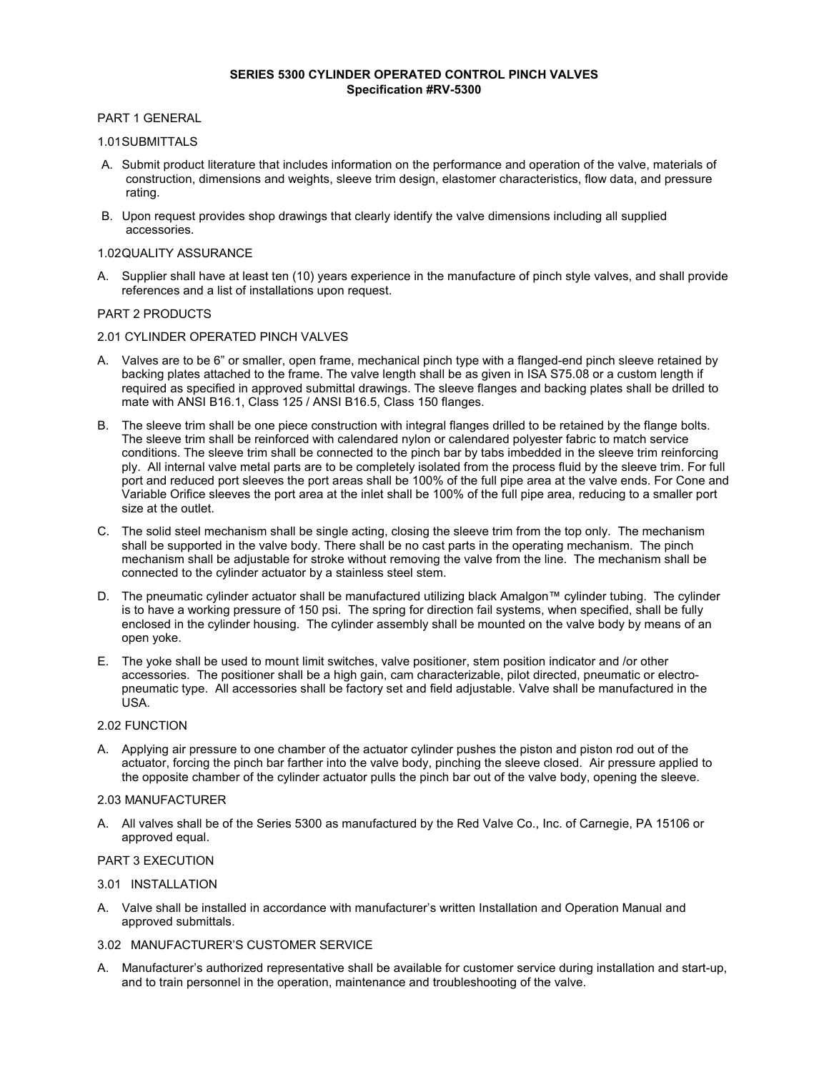### **SERIES 5300 CYLINDER OPERATED CONTROL PINCH VALVES Specification #RV-5300**

## PART 1 GENERAL

### 1.01 SUBMITTALS

- A. Submit product literature that includes information on the performance and operation of the valve, materials of construction, dimensions and weights, sleeve trim design, elastomer characteristics, flow data, and pressure rating.
- B. Upon request provides shop drawings that clearly identify the valve dimensions including all supplied accessories.

### 1.02 QUALITY ASSURANCE

A. Supplier shall have at least ten (10) years experience in the manufacture of pinch style valves, and shall provide references and a list of installations upon request.

## PART 2 PRODUCTS

# 2.01 CYLINDER OPERATED PINCH VALVES

- A. Valves are to be 6" or smaller, open frame, mechanical pinch type with a flanged-end pinch sleeve retained by backing plates attached to the frame. The valve length shall be as given in ISA S75.08 or a custom length if required as specified in approved submittal drawings. The sleeve flanges and backing plates shall be drilled to mate with ANSI B16.1, Class 125 / ANSI B16.5, Class 150 flanges.
- B. The sleeve trim shall be one piece construction with integral flanges drilled to be retained by the flange bolts. The sleeve trim shall be reinforced with calendared nylon or calendared polyester fabric to match service conditions. The sleeve trim shall be connected to the pinch bar by tabs imbedded in the sleeve trim reinforcing ply. All internal valve metal parts are to be completely isolated from the process fluid by the sleeve trim. For full port and reduced port sleeves the port areas shall be 100% of the full pipe area at the valve ends. For Cone and Variable Orifice sleeves the port area at the inlet shall be 100% of the full pipe area, reducing to a smaller port size at the outlet.
- C. The solid steel mechanism shall be single acting, closing the sleeve trim from the top only. The mechanism shall be supported in the valve body. There shall be no cast parts in the operating mechanism. The pinch mechanism shall be adjustable for stroke without removing the valve from the line. The mechanism shall be connected to the cylinder actuator by a stainless steel stem.
- D. The pneumatic cylinder actuator shall be manufactured utilizing black Amalgon™ cylinder tubing. The cylinder is to have a working pressure of 150 psi. The spring for direction fail systems, when specified, shall be fully enclosed in the cylinder housing. The cylinder assembly shall be mounted on the valve body by means of an open yoke.
- E. The yoke shall be used to mount limit switches, valve positioner, stem position indicator and /or other accessories. The positioner shall be a high gain, cam characterizable, pilot directed, pneumatic or electropneumatic type. All accessories shall be factory set and field adjustable. Valve shall be manufactured in the USA.

#### 2.02 FUNCTION

A. Applying air pressure to one chamber of the actuator cylinder pushes the piston and piston rod out of the actuator, forcing the pinch bar farther into the valve body, pinching the sleeve closed. Air pressure applied to the opposite chamber of the cylinder actuator pulls the pinch bar out of the valve body, opening the sleeve.

#### 2.03 MANUFACTURER

A. All valves shall be of the Series 5300 as manufactured by the Red Valve Co., Inc. of Carnegie, PA 15106 or approved equal.

#### PART 3 EXECUTION

#### 3.01 INSTALLATION

A. Valve shall be installed in accordance with manufacturer's written Installation and Operation Manual and approved submittals.

# 3.02 MANUFACTURER'S CUSTOMER SERVICE

A. Manufacturer's authorized representative shall be available for customer service during installation and start-up, and to train personnel in the operation, maintenance and troubleshooting of the valve.